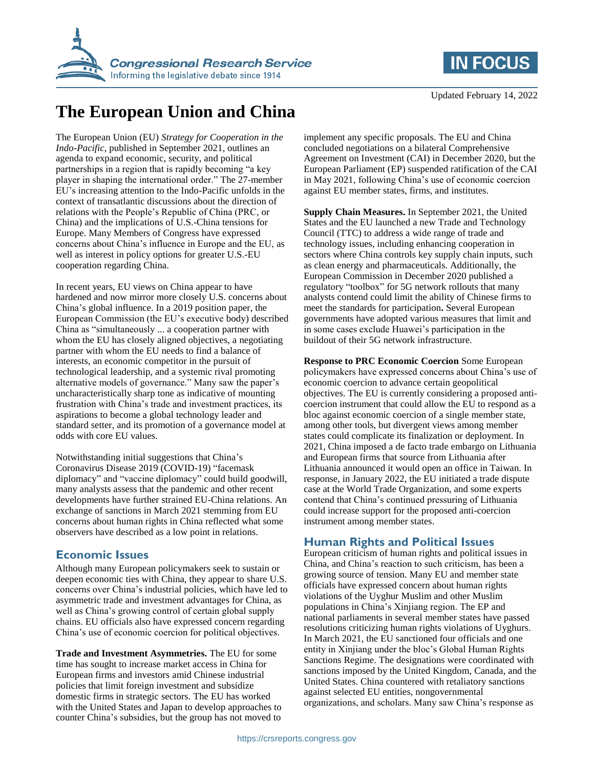



# **The European Union and China**

The European Union (EU) *Strategy for Cooperation in the Indo-Pacific*, published in September 2021, outlines an agenda to expand economic, security, and political partnerships in a region that is rapidly becoming "a key player in shaping the international order." The 27-member EU's increasing attention to the Indo-Pacific unfolds in the context of transatlantic discussions about the direction of relations with the People's Republic of China (PRC, or China) and the implications of U.S.-China tensions for Europe. Many Members of Congress have expressed concerns about China's influence in Europe and the EU, as well as interest in policy options for greater U.S.-EU cooperation regarding China.

In recent years, EU views on China appear to have hardened and now mirror more closely U.S. concerns about China's global influence. In a 2019 position paper, the European Commission (the EU's executive body) described China as "simultaneously ... a cooperation partner with whom the EU has closely aligned objectives, a negotiating partner with whom the EU needs to find a balance of interests, an economic competitor in the pursuit of technological leadership, and a systemic rival promoting alternative models of governance." Many saw the paper's uncharacteristically sharp tone as indicative of mounting frustration with China's trade and investment practices, its aspirations to become a global technology leader and standard setter, and its promotion of a governance model at odds with core EU values.

Notwithstanding initial suggestions that China's Coronavirus Disease 2019 (COVID-19) "facemask diplomacy" and "vaccine diplomacy" could build goodwill, many analysts assess that the pandemic and other recent developments have further strained EU-China relations. An exchange of sanctions in March 2021 stemming from EU concerns about human rights in China reflected what some observers have described as a low point in relations.

## **Economic Issues**

Although many European policymakers seek to sustain or deepen economic ties with China, they appear to share U.S. concerns over China's industrial policies, which have led to asymmetric trade and investment advantages for China, as well as China's growing control of certain global supply chains. EU officials also have expressed concern regarding China's use of economic coercion for political objectives.

**Trade and Investment Asymmetries.** The EU for some time has sought to increase market access in China for European firms and investors amid Chinese industrial policies that limit foreign investment and subsidize domestic firms in strategic sectors. The EU has worked with the United States and Japan to develop approaches to counter China's subsidies, but the group has not moved to

implement any specific proposals. The EU and China concluded negotiations on a bilateral Comprehensive Agreement on Investment (CAI) in December 2020, but the European Parliament (EP) suspended ratification of the CAI in May 2021, following China's use of economic coercion against EU member states, firms, and institutes.

**Supply Chain Measures.** In September 2021, the United States and the EU launched a new Trade and Technology Council (TTC) to address a wide range of trade and technology issues, including enhancing cooperation in sectors where China controls key supply chain inputs, such as clean energy and pharmaceuticals. Additionally, the European Commission in December 2020 published a regulatory "toolbox" for 5G network rollouts that many analysts contend could limit the ability of Chinese firms to meet the standards for participation**.** Several European governments have adopted various measures that limit and in some cases exclude Huawei's participation in the buildout of their 5G network infrastructure.

**Response to PRC Economic Coercion** Some European policymakers have expressed concerns about China's use of economic coercion to advance certain geopolitical objectives. The EU is currently considering a proposed anticoercion instrument that could allow the EU to respond as a bloc against economic coercion of a single member state, among other tools, but divergent views among member states could complicate its finalization or deployment. In 2021, China imposed a de facto trade embargo on Lithuania and European firms that source from Lithuania after Lithuania announced it would open an office in Taiwan. In response, in January 2022, the EU initiated a trade dispute case at the World Trade Organization, and some experts contend that China's continued pressuring of Lithuania could increase support for the proposed anti-coercion instrument among member states.

## **Human Rights and Political Issues**

European criticism of human rights and political issues in China, and China's reaction to such criticism, has been a growing source of tension. Many EU and member state officials have expressed concern about human rights violations of the Uyghur Muslim and other Muslim populations in China's Xinjiang region. The EP and national parliaments in several member states have passed resolutions criticizing human rights violations of Uyghurs. In March 2021, the EU sanctioned four officials and one entity in Xinjiang under the bloc's Global Human Rights Sanctions Regime. The designations were coordinated with sanctions imposed by the United Kingdom, Canada, and the United States. China countered with retaliatory sanctions against selected EU entities, nongovernmental organizations, and scholars. Many saw China's response as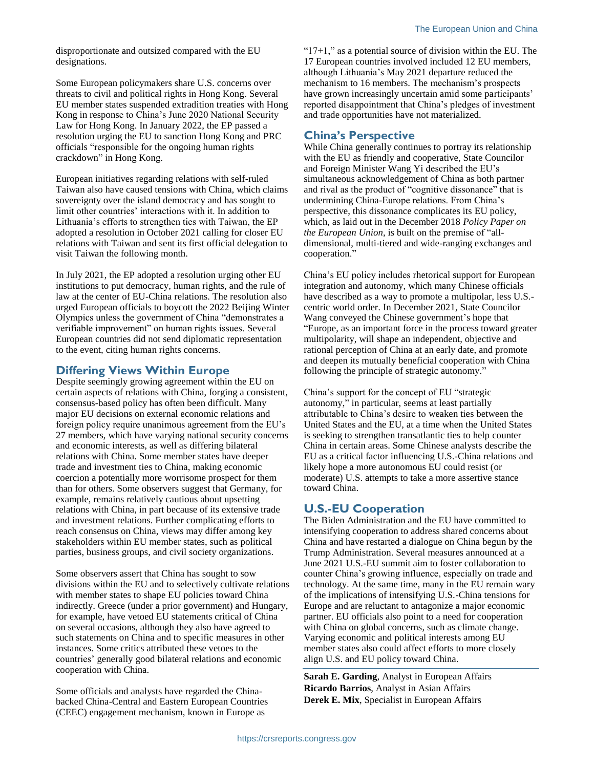disproportionate and outsized compared with the EU designations.

Some European policymakers share U.S. concerns over threats to civil and political rights in Hong Kong. Several EU member states suspended extradition treaties with Hong Kong in response to China's June 2020 National Security Law for Hong Kong. In January 2022, the EP passed a resolution urging the EU to sanction Hong Kong and PRC officials "responsible for the ongoing human rights crackdown" in Hong Kong.

European initiatives regarding relations with self-ruled Taiwan also have caused tensions with China, which claims sovereignty over the island democracy and has sought to limit other countries' interactions with it. In addition to Lithuania's efforts to strengthen ties with Taiwan, the EP adopted a resolution in October 2021 calling for closer EU relations with Taiwan and sent its first official delegation to visit Taiwan the following month.

In July 2021, the EP adopted a resolution urging other EU institutions to put democracy, human rights, and the rule of law at the center of EU-China relations. The resolution also urged European officials to boycott the 2022 Beijing Winter Olympics unless the government of China "demonstrates a verifiable improvement" on human rights issues. Several European countries did not send diplomatic representation to the event, citing human rights concerns.

#### **Differing Views Within Europe**

Despite seemingly growing agreement within the EU on certain aspects of relations with China, forging a consistent, consensus-based policy has often been difficult. Many major EU decisions on external economic relations and foreign policy require unanimous agreement from the EU's 27 members, which have varying national security concerns and economic interests, as well as differing bilateral relations with China. Some member states have deeper trade and investment ties to China, making economic coercion a potentially more worrisome prospect for them than for others. Some observers suggest that Germany, for example, remains relatively cautious about upsetting relations with China, in part because of its extensive trade and investment relations. Further complicating efforts to reach consensus on China, views may differ among key stakeholders within EU member states, such as political parties, business groups, and civil society organizations.

Some observers assert that China has sought to sow divisions within the EU and to selectively cultivate relations with member states to shape EU policies toward China indirectly. Greece (under a prior government) and Hungary, for example, have vetoed EU statements critical of China on several occasions, although they also have agreed to such statements on China and to specific measures in other instances. Some critics attributed these vetoes to the countries' generally good bilateral relations and economic cooperation with China.

Some officials and analysts have regarded the Chinabacked China-Central and Eastern European Countries (CEEC) engagement mechanism, known in Europe as

" $17+1$ ," as a potential source of division within the EU. The 17 European countries involved included 12 EU members, although Lithuania's May 2021 departure reduced the mechanism to 16 members. The mechanism's prospects have grown increasingly uncertain amid some participants' reported disappointment that China's pledges of investment and trade opportunities have not materialized.

## **China's Perspective**

While China generally continues to portray its relationship with the EU as friendly and cooperative, State Councilor and Foreign Minister Wang Yi described the EU's simultaneous acknowledgement of China as both partner and rival as the product of "cognitive dissonance" that is undermining China-Europe relations. From China's perspective, this dissonance complicates its EU policy, which, as laid out in the December 2018 *Policy Paper on the European Union*, is built on the premise of "alldimensional, multi-tiered and wide-ranging exchanges and cooperation."

China's EU policy includes rhetorical support for European integration and autonomy, which many Chinese officials have described as a way to promote a multipolar, less U.S. centric world order. In December 2021, State Councilor Wang conveyed the Chinese government's hope that "Europe, as an important force in the process toward greater multipolarity, will shape an independent, objective and rational perception of China at an early date, and promote and deepen its mutually beneficial cooperation with China following the principle of strategic autonomy."

China's support for the concept of EU "strategic autonomy," in particular, seems at least partially attributable to China's desire to weaken ties between the United States and the EU, at a time when the United States is seeking to strengthen transatlantic ties to help counter China in certain areas. Some Chinese analysts describe the EU as a critical factor influencing U.S.-China relations and likely hope a more autonomous EU could resist (or moderate) U.S. attempts to take a more assertive stance toward China.

## **U.S.-EU Cooperation**

The Biden Administration and the EU have committed to intensifying cooperation to address shared concerns about China and have restarted a dialogue on China begun by the Trump Administration. Several measures announced at a June 2021 U.S.-EU summit aim to foster collaboration to counter China's growing influence, especially on trade and technology. At the same time, many in the EU remain wary of the implications of intensifying U.S.-China tensions for Europe and are reluctant to antagonize a major economic partner. EU officials also point to a need for cooperation with China on global concerns, such as climate change. Varying economic and political interests among EU member states also could affect efforts to more closely align U.S. and EU policy toward China.

**Sarah E. Garding**, Analyst in European Affairs **Ricardo Barrios**, Analyst in Asian Affairs **Derek E. Mix**, Specialist in European Affairs